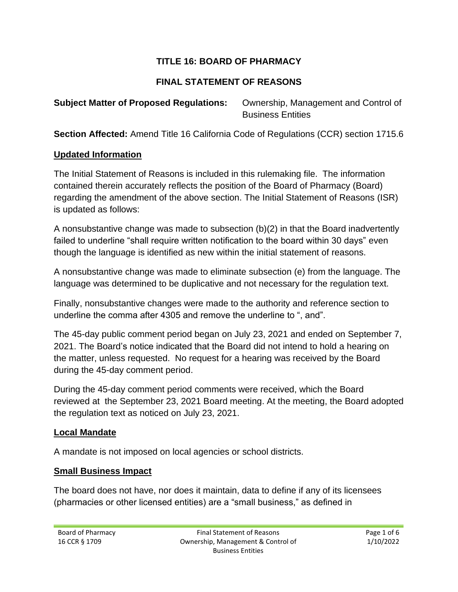# **TITLE 16: BOARD OF PHARMACY**

### **FINAL STATEMENT OF REASONS**

**Subject Matter of Proposed Regulations:** Ownership, Management and Control of Business Entities

**Section Affected:** Amend Title 16 California Code of Regulations (CCR) section 1715.6

#### **Updated Information**

The Initial Statement of Reasons is included in this rulemaking file. The information contained therein accurately reflects the position of the Board of Pharmacy (Board) regarding the amendment of the above section. The Initial Statement of Reasons (ISR) is updated as follows:

A nonsubstantive change was made to subsection (b)(2) in that the Board inadvertently failed to underline "shall require written notification to the board within 30 days" even though the language is identified as new within the initial statement of reasons.

A nonsubstantive change was made to eliminate subsection (e) from the language. The language was determined to be duplicative and not necessary for the regulation text.

Finally, nonsubstantive changes were made to the authority and reference section to underline the comma after 4305 and remove the underline to ", and".

The 45-day public comment period began on July 23, 2021 and ended on September 7, 2021. The Board's notice indicated that the Board did not intend to hold a hearing on the matter, unless requested. No request for a hearing was received by the Board during the 45-day comment period.

During the 45-day comment period comments were received, which the Board reviewed at the September 23, 2021 Board meeting. At the meeting, the Board adopted the regulation text as noticed on July 23, 2021.

#### **Local Mandate**

A mandate is not imposed on local agencies or school districts.

#### **Small Business Impact**

The board does not have, nor does it maintain, data to define if any of its licensees (pharmacies or other licensed entities) are a "small business," as defined in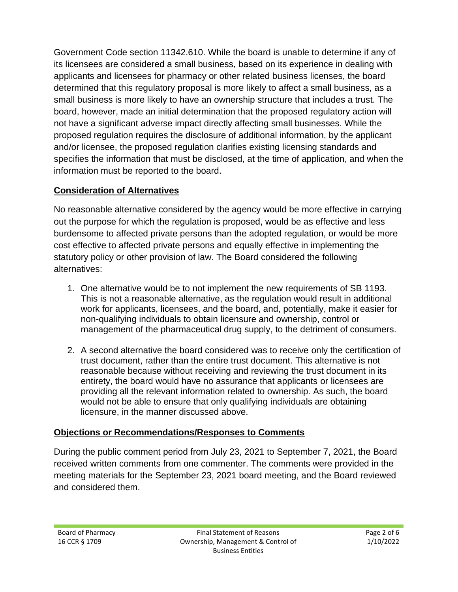Government Code section 11342.610. While the board is unable to determine if any of its licensees are considered a small business, based on its experience in dealing with applicants and licensees for pharmacy or other related business licenses, the board determined that this regulatory proposal is more likely to affect a small business, as a small business is more likely to have an ownership structure that includes a trust. The board, however, made an initial determination that the proposed regulatory action will not have a significant adverse impact directly affecting small businesses. While the proposed regulation requires the disclosure of additional information, by the applicant and/or licensee, the proposed regulation clarifies existing licensing standards and specifies the information that must be disclosed, at the time of application, and when the information must be reported to the board.

# **Consideration of Alternatives**

No reasonable alternative considered by the agency would be more effective in carrying out the purpose for which the regulation is proposed, would be as effective and less burdensome to affected private persons than the adopted regulation, or would be more cost effective to affected private persons and equally effective in implementing the statutory policy or other provision of law. The Board considered the following alternatives:

- 1. One alternative would be to not implement the new requirements of SB 1193. This is not a reasonable alternative, as the regulation would result in additional work for applicants, licensees, and the board, and, potentially, make it easier for non-qualifying individuals to obtain licensure and ownership, control or management of the pharmaceutical drug supply, to the detriment of consumers.
- 2. A second alternative the board considered was to receive only the certification of trust document, rather than the entire trust document. This alternative is not reasonable because without receiving and reviewing the trust document in its entirety, the board would have no assurance that applicants or licensees are providing all the relevant information related to ownership. As such, the board would not be able to ensure that only qualifying individuals are obtaining licensure, in the manner discussed above.

# **Objections or Recommendations/Responses to Comments**

During the public comment period from July 23, 2021 to September 7, 2021, the Board received written comments from one commenter. The comments were provided in the meeting materials for the September 23, 2021 board meeting, and the Board reviewed and considered them.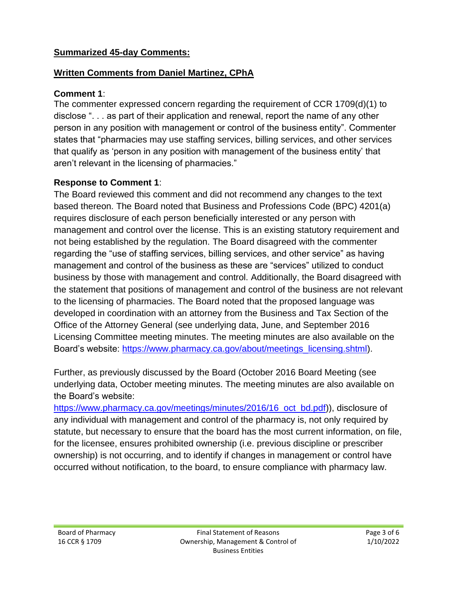## **Summarized 45-day Comments:**

## **Written Comments from Daniel Martinez, CPhA**

## **Comment 1**:

The commenter expressed concern regarding the requirement of CCR 1709(d)(1) to disclose ". . . as part of their application and renewal, report the name of any other person in any position with management or control of the business entity". Commenter states that "pharmacies may use staffing services, billing services, and other services that qualify as 'person in any position with management of the business entity' that aren't relevant in the licensing of pharmacies."

# **Response to Comment 1**:

The Board reviewed this comment and did not recommend any changes to the text based thereon. The Board noted that Business and Professions Code (BPC) 4201(a) requires disclosure of each person beneficially interested or any person with management and control over the license. This is an existing statutory requirement and not being established by the regulation. The Board disagreed with the commenter regarding the "use of staffing services, billing services, and other service" as having management and control of the business as these are "services" utilized to conduct business by those with management and control. Additionally, the Board disagreed with the statement that positions of management and control of the business are not relevant to the licensing of pharmacies. The Board noted that the proposed language was developed in coordination with an attorney from the Business and Tax Section of the Office of the Attorney General (see underlying data, June, and September 2016 Licensing Committee meeting minutes. The meeting minutes are also available on the Board's website: [https://www.pharmacy.ca.gov/about/meetings\\_licensing.shtml\)](https://www.pharmacy.ca.gov/about/meetings_licensing.shtml).

Further, as previously discussed by the Board (October 2016 Board Meeting (see underlying data, October meeting minutes. The meeting minutes are also available on the Board's website:

https://www.pharmacy.ca.gov/meetings/minutes/2016/16 oct\_bd.pdf)), disclosure of any individual with management and control of the pharmacy is, not only required by statute, but necessary to ensure that the board has the most current information, on file, for the licensee, ensures prohibited ownership (i.e. previous discipline or prescriber ownership) is not occurring, and to identify if changes in management or control have occurred without notification, to the board, to ensure compliance with pharmacy law.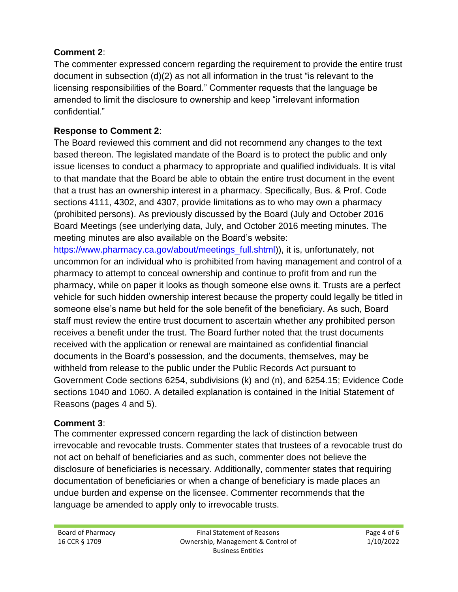## **Comment 2**:

The commenter expressed concern regarding the requirement to provide the entire trust document in subsection (d)(2) as not all information in the trust "is relevant to the licensing responsibilities of the Board." Commenter requests that the language be amended to limit the disclosure to ownership and keep "irrelevant information confidential."

## **Response to Comment 2**:

The Board reviewed this comment and did not recommend any changes to the text based thereon. The legislated mandate of the Board is to protect the public and only issue licenses to conduct a pharmacy to appropriate and qualified individuals. It is vital to that mandate that the Board be able to obtain the entire trust document in the event that a trust has an ownership interest in a pharmacy. Specifically, Bus. & Prof. Code sections 4111, 4302, and 4307, provide limitations as to who may own a pharmacy (prohibited persons). As previously discussed by the Board (July and October 2016 Board Meetings (see underlying data, July, and October 2016 meeting minutes. The meeting minutes are also available on the Board's website:

[https://www.pharmacy.ca.gov/about/meetings\\_full.shtml\)](https://www.pharmacy.ca.gov/about/meetings_full.shtml)), it is, unfortunately, not uncommon for an individual who is prohibited from having management and control of a pharmacy to attempt to conceal ownership and continue to profit from and run the pharmacy, while on paper it looks as though someone else owns it. Trusts are a perfect vehicle for such hidden ownership interest because the property could legally be titled in someone else's name but held for the sole benefit of the beneficiary. As such, Board staff must review the entire trust document to ascertain whether any prohibited person receives a benefit under the trust. The Board further noted that the trust documents received with the application or renewal are maintained as confidential financial documents in the Board's possession, and the documents, themselves, may be withheld from release to the public under the Public Records Act pursuant to Government Code sections 6254, subdivisions (k) and (n), and 6254.15; Evidence Code sections 1040 and 1060. A detailed explanation is contained in the Initial Statement of Reasons (pages 4 and 5).

### **Comment 3**:

The commenter expressed concern regarding the lack of distinction between irrevocable and revocable trusts. Commenter states that trustees of a revocable trust do not act on behalf of beneficiaries and as such, commenter does not believe the disclosure of beneficiaries is necessary. Additionally, commenter states that requiring documentation of beneficiaries or when a change of beneficiary is made places an undue burden and expense on the licensee. Commenter recommends that the language be amended to apply only to irrevocable trusts.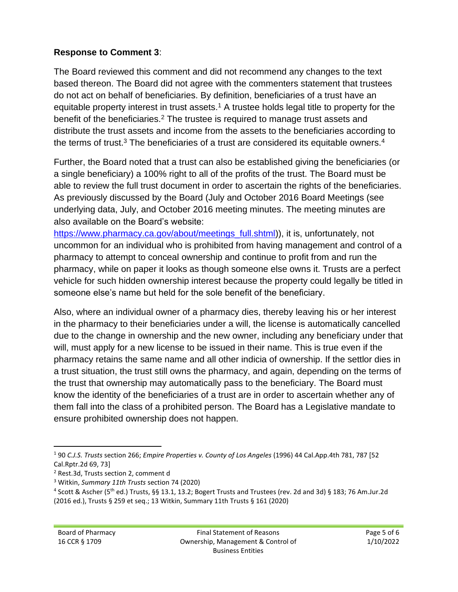## **Response to Comment 3**:

The Board reviewed this comment and did not recommend any changes to the text based thereon. The Board did not agree with the commenters statement that trustees do not act on behalf of beneficiaries. By definition, beneficiaries of a trust have an equitable property interest in trust assets.<sup>1</sup> A trustee holds legal title to property for the benefit of the beneficiaries.<sup>2</sup> The trustee is required to manage trust assets and distribute the trust assets and income from the assets to the beneficiaries according to the terms of trust.<sup>3</sup> The beneficiaries of a trust are considered its equitable owners.<sup>4</sup>

Further, the Board noted that a trust can also be established giving the beneficiaries (or a single beneficiary) a 100% right to all of the profits of the trust. The Board must be able to review the full trust document in order to ascertain the rights of the beneficiaries. As previously discussed by the Board (July and October 2016 Board Meetings (see underlying data, July, and October 2016 meeting minutes. The meeting minutes are also available on the Board's website:

[https://www.pharmacy.ca.gov/about/meetings\\_full.shtml\)](https://www.pharmacy.ca.gov/about/meetings_full.shtml)), it is, unfortunately, not uncommon for an individual who is prohibited from having management and control of a pharmacy to attempt to conceal ownership and continue to profit from and run the pharmacy, while on paper it looks as though someone else owns it. Trusts are a perfect vehicle for such hidden ownership interest because the property could legally be titled in someone else's name but held for the sole benefit of the beneficiary.

Also, where an individual owner of a pharmacy dies, thereby leaving his or her interest in the pharmacy to their beneficiaries under a will, the license is automatically cancelled due to the change in ownership and the new owner, including any beneficiary under that will, must apply for a new license to be issued in their name. This is true even if the pharmacy retains the same name and all other indicia of ownership. If the settlor dies in a trust situation, the trust still owns the pharmacy, and again, depending on the terms of the trust that ownership may automatically pass to the beneficiary. The Board must know the identity of the beneficiaries of a trust are in order to ascertain whether any of them fall into the class of a prohibited person. The Board has a Legislative mandate to ensure prohibited ownership does not happen.

<sup>1</sup> 90 *C.J.S. Trusts* section 266; *Empire Properties v. County of Los Angeles* (1996) 44 Cal.App.4th 781, 787 [52 Cal.Rptr.2d 69, 73]

<sup>2</sup> Rest.3d, Trusts section 2, comment d

<sup>3</sup> Witkin, *Summary 11th Trusts* section 74 (2020)

<sup>&</sup>lt;sup>4</sup> Scott & Ascher (5<sup>th</sup> ed.) Trusts, §§ 13.1, 13.2; Bogert Trusts and Trustees (rev. 2d and 3d) § 183; 76 Am.Jur.2d (2016 ed.), Trusts § 259 et seq.; 13 Witkin, Summary 11th Trusts § 161 (2020)